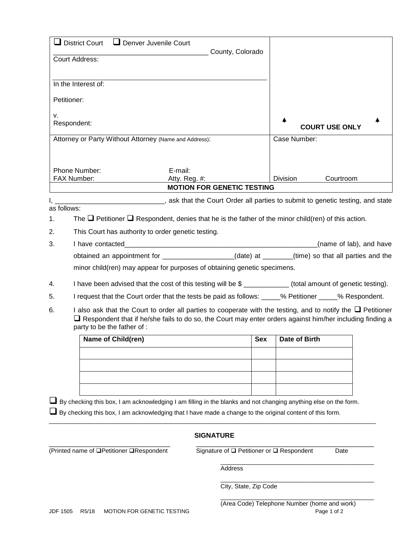| $\Box$ District Court<br>Denver Juvenile Court                                                                                                                                                                                                                            |                                           |            |                       |  |  |
|---------------------------------------------------------------------------------------------------------------------------------------------------------------------------------------------------------------------------------------------------------------------------|-------------------------------------------|------------|-----------------------|--|--|
| <b>Court Address:</b>                                                                                                                                                                                                                                                     | County, Colorado                          |            |                       |  |  |
| In the Interest of:                                                                                                                                                                                                                                                       |                                           |            |                       |  |  |
| Petitioner:                                                                                                                                                                                                                                                               |                                           |            |                       |  |  |
| v.                                                                                                                                                                                                                                                                        |                                           |            |                       |  |  |
| Respondent:                                                                                                                                                                                                                                                               |                                           |            | <b>COURT USE ONLY</b> |  |  |
| Attorney or Party Without Attorney (Name and Address):                                                                                                                                                                                                                    |                                           |            | Case Number:          |  |  |
|                                                                                                                                                                                                                                                                           |                                           |            |                       |  |  |
| Phone Number:<br>E-mail:                                                                                                                                                                                                                                                  |                                           |            |                       |  |  |
| FAX Number:                                                                                                                                                                                                                                                               | Atty. Reg. #:                             |            | Division<br>Courtroom |  |  |
|                                                                                                                                                                                                                                                                           | <b>MOTION FOR GENETIC TESTING</b>         |            |                       |  |  |
| ask that the Court Order all parties to submit to genetic testing, and state and state that the Court Order all parties to submit to genetic testing, and state<br>as follows:                                                                                            |                                           |            |                       |  |  |
| The $\Box$ Petitioner $\Box$ Respondent, denies that he is the father of the minor child(ren) of this action.<br>1.                                                                                                                                                       |                                           |            |                       |  |  |
| 2.<br>This Court has authority to order genetic testing.                                                                                                                                                                                                                  |                                           |            |                       |  |  |
| 3.<br>I have contacted                                                                                                                                                                                                                                                    | (name of lab), and have                   |            |                       |  |  |
| obtained an appointment for __________________(date) at ______(time) so that all parties and the                                                                                                                                                                          |                                           |            |                       |  |  |
| minor child(ren) may appear for purposes of obtaining genetic specimens.                                                                                                                                                                                                  |                                           |            |                       |  |  |
| I have been advised that the cost of this testing will be \$ ___________ (total amount of genetic testing).<br>4.                                                                                                                                                         |                                           |            |                       |  |  |
| I request that the Court order that the tests be paid as follows: _____% Petitioner _____% Respondent.<br>5.                                                                                                                                                              |                                           |            |                       |  |  |
| I also ask that the Court to order all parties to cooperate with the testing, and to notify the $\Box$ Petitioner<br>6.<br>$\Box$ Respondent that if he/she fails to do so, the Court may enter orders against him/her including finding a<br>party to be the father of : |                                           |            |                       |  |  |
| Name of Child(ren)                                                                                                                                                                                                                                                        |                                           | <b>Sex</b> | Date of Birth         |  |  |
|                                                                                                                                                                                                                                                                           |                                           |            |                       |  |  |
|                                                                                                                                                                                                                                                                           |                                           |            |                       |  |  |
|                                                                                                                                                                                                                                                                           |                                           |            |                       |  |  |
|                                                                                                                                                                                                                                                                           |                                           |            |                       |  |  |
| ■ By checking this box, I am acknowledging I am filling in the blanks and not changing anything else on the form.<br>$\Box$ By checking this box, I am acknowledging that I have made a change to the original content of this form.                                      |                                           |            |                       |  |  |
|                                                                                                                                                                                                                                                                           | <b>SIGNATURE</b>                          |            |                       |  |  |
| (Printed name of □Petitioner □Respondent                                                                                                                                                                                                                                  | Signature of □ Petitioner or □ Respondent |            | Date                  |  |  |
| Address                                                                                                                                                                                                                                                                   |                                           |            |                       |  |  |

\_\_\_\_\_\_\_\_\_\_\_\_\_\_\_\_\_\_\_\_\_\_\_\_\_\_\_\_\_\_\_\_\_\_\_\_\_\_\_\_\_\_\_\_\_ City, State, Zip Code

\_\_\_\_\_\_\_\_\_\_\_\_\_\_\_\_\_\_\_\_\_\_\_\_\_\_\_\_\_\_\_\_\_\_\_\_\_\_\_\_\_\_\_\_\_